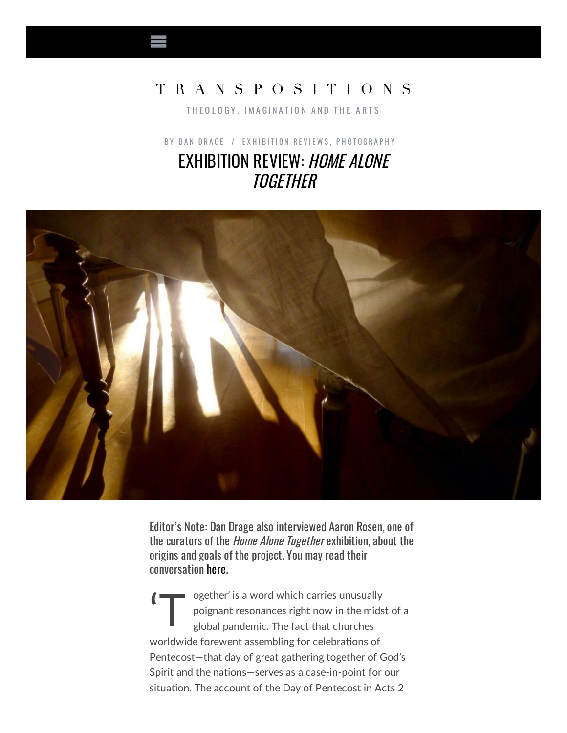## TRANSPOSITIONS

THEOLOGY, IMAGINATION AND THE ARTS

BY DAN DRA[G](http://www.transpositions.co.uk/author/daniel-drage/)E / EXHIBITION REVIE[W](http://www.transpositions.co.uk/category/reviews/exhibition-reviews/)S, P[H](http://www.transpositions.co.uk/category/photography/)OTOGRAPHY EXHIBITION REVIEW: HOME ALONE **TOGETHER** 



Editor's Note: Dan Drage also interviewed Aaron Rosen, one of the curators of the *Home Alone Together* exhibition, about the origins and goals of the project. You may read their conversation [here](http://www.transpositions.co.uk/home-alone-together-an-interview-with-aaron-rosen/).

'T ogether' is a word which carries unusually poignant resonances right now in the midst of a global pandemic. The fact that churches worldwide forewent assembling for celebrations of Pentecost—that day of great gathering together of God's Spirit and the nations-serves as a case-in-point for our situation. The account of the Day of Pentecost in Acts 2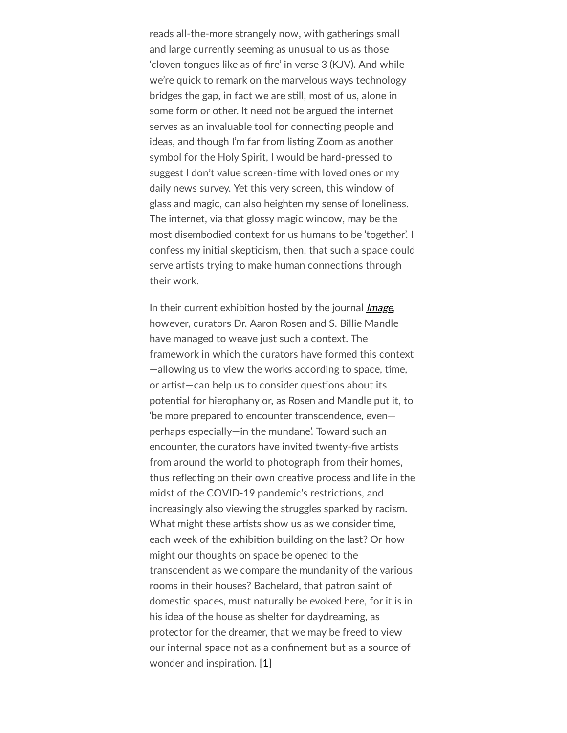reads all-the-more strangely now, with gatherings small and large currently seeming as unusual to us as those 'cloven tongues like as of fire' in verse 3 (KJV). And while we're quick to remark on the marvelous ways technology bridges the gap, in fact we are still, most of us, alone in some form or other. It need not be argued the internet serves as an invaluable tool for connecting people and ideas, and though I'm far from listing Zoom as another symbol for the Holy Spirit, I would be hard-pressed to suggest I don't value screen-time with loved ones or my daily news survey. Yet this very screen, this window of glass and magic, can also heighten my sense of loneliness. The internet, via that glossy magic window, may be the most disembodied context for us humans to be 'together'. I confess my initial skepticism, then, that such a space could serve artists trying to make human connections through their work.

In their current exhibition hosted by the journal *[Image](https://imagejournal.org/exhibitions-home-alone-together/)*, however, curators Dr. Aaron Rosen and S. Billie Mandle have managed to weave just such a context. The framework in which the curators have formed this context  $-$ allowing us to view the works according to space, time, or artist—can help us to consider questions about its potential for hierophany or, as Rosen and Mandle put it, to 'be more prepared to encounter transcendence, even perhaps especially—in the mundane'. Toward such an encounter, the curators have invited twenty-five artists from around the world to photograph from their homes, thus reflecting on their own creative process and life in the midst of the COVID-19 pandemic's restrictions, and increasingly also viewing the struggles sparked by racism. What might these artists show us as we consider time, each week of the exhibition building on the last? Or how might our thoughts on space be opened to the transcendent as we compare the mundanity of the various rooms in their houses? Bachelard, that patron saint of domestic spaces, must naturally be evoked here, for it is in his idea of the house as shelter for daydreaming, as protector for the dreamer, that we may be freed to view our internal space not as a confinement but as a source of wonder and inspiration. [\[1\]](applewebdata://FCDBC31D-C486-41F6-8E45-F4A64D851EA3#_ftn1)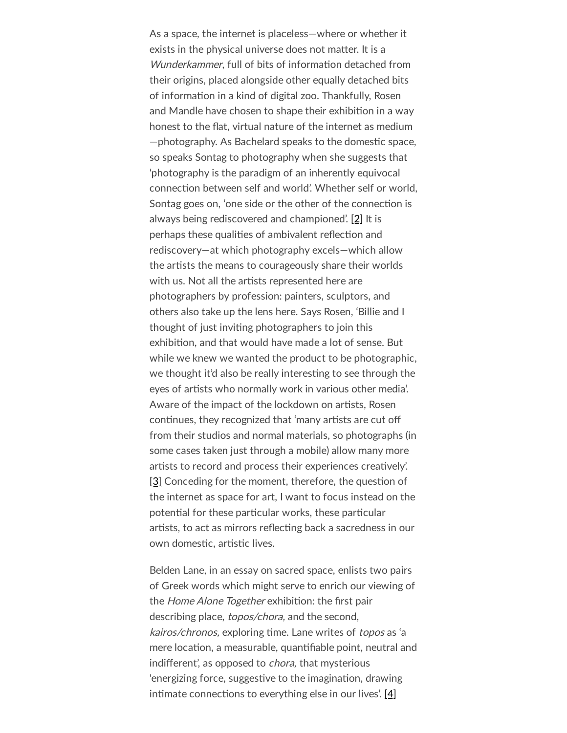As a space, the internet is placeless—where or whether it exists in the physical universe does not matter. It is a Wunderkammer, full of bits of information detached from their origins, placed alongside other equally detached bits of information in a kind of digital zoo. Thankfully, Rosen and Mandle have chosen to shape their exhibition in a way honest to the flat, virtual nature of the internet as medium -photography. As Bachelard speaks to the domestic space, so speaks Sontag to photography when she suggests that 'photography is the paradigm of an inherently equivocal connection between self and world'. Whether self or world, Sontag goes on, 'one side or the other of the connection is always being rediscovered and championed'. [\[2\]](applewebdata://FCDBC31D-C486-41F6-8E45-F4A64D851EA3#_ftn2) It is perhaps these qualities of ambivalent reflection and rediscovery—at which photography excels—which allow the artists the means to courageously share their worlds with us. Not all the artists represented here are photographers by profession: painters, sculptors, and others also take up the lens here. Says Rosen, 'Billie and I thought of just inviting photographers to join this exhibition, and that would have made a lot of sense. But while we knew we wanted the product to be photographic, we thought it'd also be really interesting to see through the eyes of artists who normally work in various other media'. Aware of the impact of the lockdown on artists, Rosen continues, they recognized that 'many artists are cut off from their studios and normal materials, so photographs (in some cases taken just through a mobile) allow many more artists to record and process their experiences creatively. [\[3\]](applewebdata://FCDBC31D-C486-41F6-8E45-F4A64D851EA3#_ftn3) Conceding for the moment, therefore, the question of the internet as space for art, I want to focus instead on the potential for these particular works, these particular artists, to act as mirrors reflecting back a sacredness in our own domestic, artistic lives.

Belden Lane, in an essay on sacred space, enlists two pairs of Greek words which might serve to enrich our viewing of the Home Alone Together exhibition: the first pair describing place, *topos/chora*, and the second, kairos/chronos, exploring time. Lane writes of topos as 'a mere location, a measurable, quantifiable point, neutral and indifferent', as opposed to *chora*, that mysterious 'energizing force, suggestive to the imagination, drawing intimate connections to everything else in our lives'.  $[4]$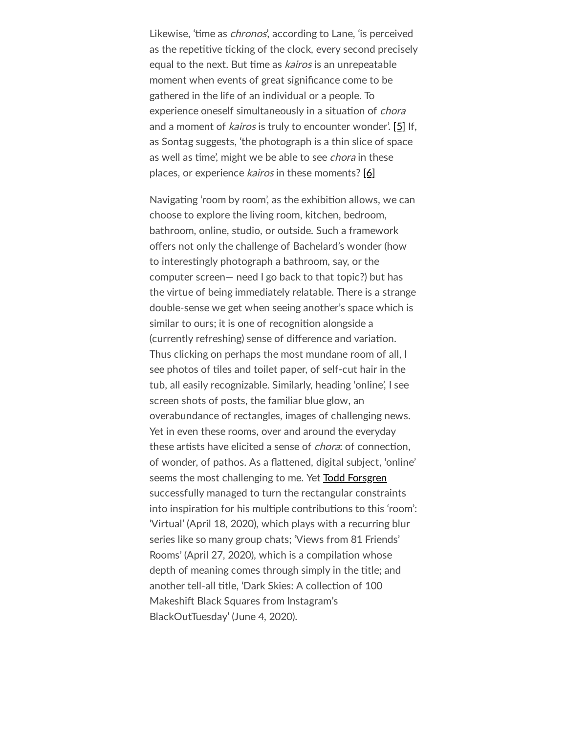Likewise, 'time as *chronos*', according to Lane, 'is perceived as the repetitive ticking of the clock, every second precisely equal to the next. But time as *kairos* is an unrepeatable moment when events of great significance come to be gathered in the life of an individual or a people. To experience oneself simultaneously in a situation of *chora* and a moment of *kairos* is truly to encounter wonder'. [\[5\]](applewebdata://FCDBC31D-C486-41F6-8E45-F4A64D851EA3#_ftn5) If, as Sontag suggests, 'the photograph is a thin slice of space as well as time', might we be able to see chora in these places, or experience kairos in these moments? [\[6\]](applewebdata://FCDBC31D-C486-41F6-8E45-F4A64D851EA3#_ftn6)

Navigating 'room by room', as the exhibition allows, we can choose to explore the living room, kitchen, bedroom, bathroom, online, studio, or outside. Such a framework offers not only the challenge of Bachelard's wonder (how to interestingly photograph a bathroom, say, or the computer screen— need I go back to that topic?) but has the virtue of being immediately relatable. There is a strange double-sense we get when seeing another's space which is similar to ours; it is one of recognition alongside a (currently refreshing) sense of difference and variation. Thus clicking on perhaps the most mundane room of all, I see photos of tiles and toilet paper, of self-cut hair in the tub, all easily recognizable. Similarly, heading 'online', I see screen shots of posts, the familiar blue glow, an overabundance of rectangles, images of challenging news. Yet in even these rooms, over and around the everyday these artists have elicited a sense of *chora*: of connection, of wonder, of pathos. As a flattened, digital subject, 'online' seems the most challenging to me. Yet Todd [Forsgren](https://imagejournal.org/todd-forsgren/) successfully managed to turn the rectangular constraints into inspiration for his multiple contributions to this 'room': 'Virtual' (April 18, 2020), which plays with a recurring blur series like so many group chats; 'Views from 81 Friends' Rooms' (April 27, 2020), which is a compilation whose depth of meaning comes through simply in the title; and another tell-all title, 'Dark Skies: A collection of 100 Makeshift Black Squares from Instagram's BlackOutTuesday' (June 4, 2020).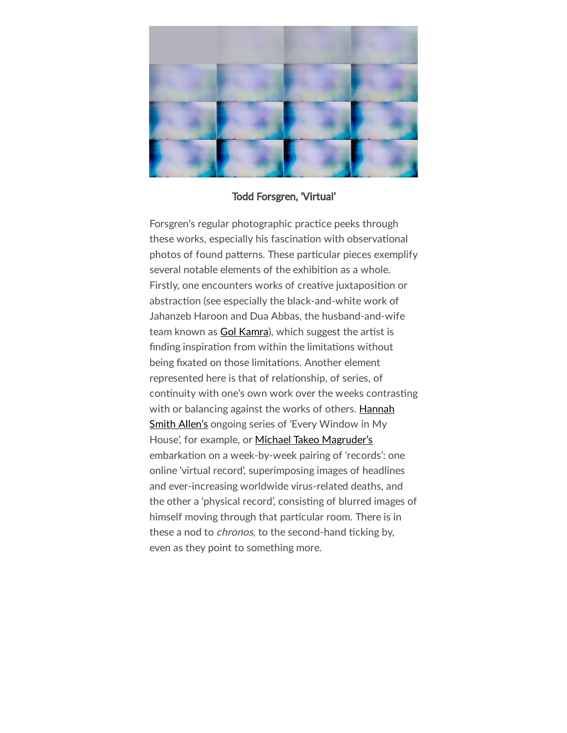

## Todd Forsgren, 'Virtual'

Forsgren's regular photographic practice peeks through these works, especially his fascination with observational photos of found patterns. These particular pieces exemplify several notable elements of the exhibition as a whole. Firstly, one encounters works of creative juxtaposition or abstraction (see especially the black-and-white work of Jahanzeb Haroon and Dua Abbas, the husband-and-wife team known as Gol [Kamra](https://imagejournal.org/gol-kamra-dua-abbas-jahanzeb-haroon/)), which suggest the artist is finding inspiration from within the limitations without being fixated on those limitations. Another element represented here is that of relationship, of series, of continuity with one's own work over the weeks contrasting with or [balancing](https://imagejournal.org/hannah-smith-allen/) against the works of others. Hannah Smith Allen's ongoing series of 'Every Window in My House', for example, or Michael Takeo [Magruder's](https://imagejournal.org/michael-takeo-magruder/) embarkation on a week-by-week pairing of 'records': one online 'virtual record', superimposing images of headlines and ever-increasing worldwide virus-related deaths, and the other a 'physical record', consisting of blurred images of himself moving through that particular room. There is in these a nod to *chronos*, to the second-hand ticking by, even as they point to something more.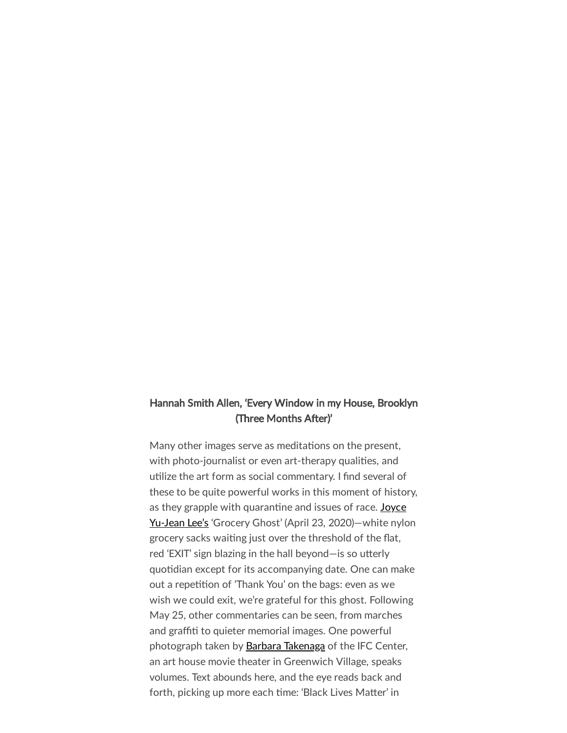## Hannah Smith Allen, 'Every Window in my House, Brooklyn (Three Months After)'

Many other images serve as meditations on the present, with photo-journalist or even art-therapy qualities, and utilize the art form as social commentary. I find several of these to be quite powerful works in this moment of history, as they grapple with quarantine and issues of race. Joyce Yu-Jean Lee's 'Grocery Ghost' (April 23, 2020) – white nylon grocery sacks waiting just over the threshold of the flat, red 'EXIT' sign blazing in the hall beyond—is so utterly quotidian except for its accompanying date. One can make out a repetition of 'Thank You' on the bags: even as we wish we could exit, we're grateful for this ghost. Following May 25, other commentaries can be seen, from marches and graffiti to quieter memorial images. One powerful photograph taken by **Barbara [Takenaga](https://imagejournal.org/barbara-takenaga/)** of the IFC Center, an art house movie theater in Greenwich Village, speaks volumes. Text abounds here, and the eye reads back and forth, picking up more each time: 'Black Lives Matter' in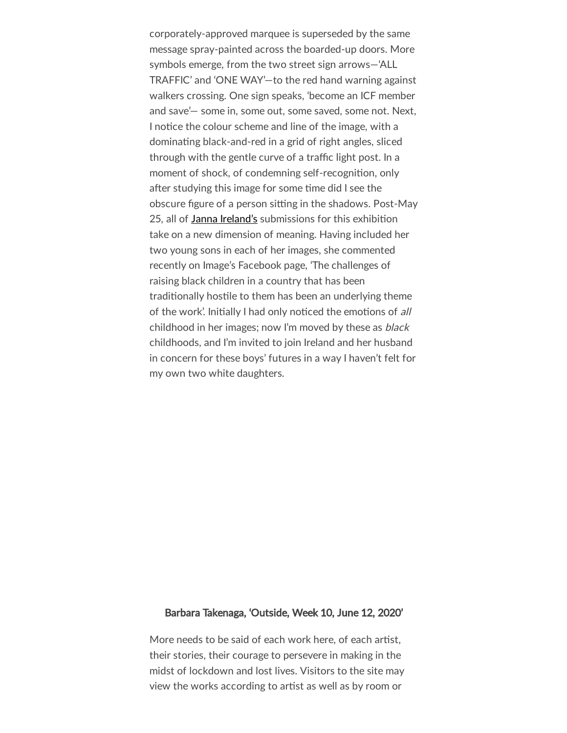corporately-approved marquee is superseded by the same message spray-painted across the boarded-up doors. More symbols emerge, from the two street sign arrows—'ALL TRAFFIC' and 'ONE WAY'—to the red hand warning against walkers crossing. One sign speaks, 'become an ICF member and save'— some in, some out, some saved, some not. Next, I notice the colour scheme and line of the image, with a dominating black-and-red in a grid of right angles, sliced through with the gentle curve of a traffic light post. In a moment of shock, of condemning self-recognition, only after studying this image for some time did I see the obscure figure of a person sitting in the shadows. Post-May 25, all of Janna [Ireland's](https://imagejournal.org/janna-ireland/) submissions for this exhibition take on a new dimension of meaning. Having included her two young sons in each of her images, she commented recently on Image's Facebook page, 'The challenges of raising black children in a country that has been traditionally hostile to them has been an underlying theme of the work'. Initially I had only noticed the emotions of all childhood in her images; now I'm moved by these as black childhoods, and I'm invited to join Ireland and her husband in concern for these boys' futures in a way I haven't felt for my own two white daughters.

## Barbara Takenaga, 'Outside, Week 10, June 12, 2020'

More needs to be said of each work here, of each artist, their stories, their courage to persevere in making in the midst of lockdown and lost lives. Visitors to the site may view the works according to artist as well as by room or